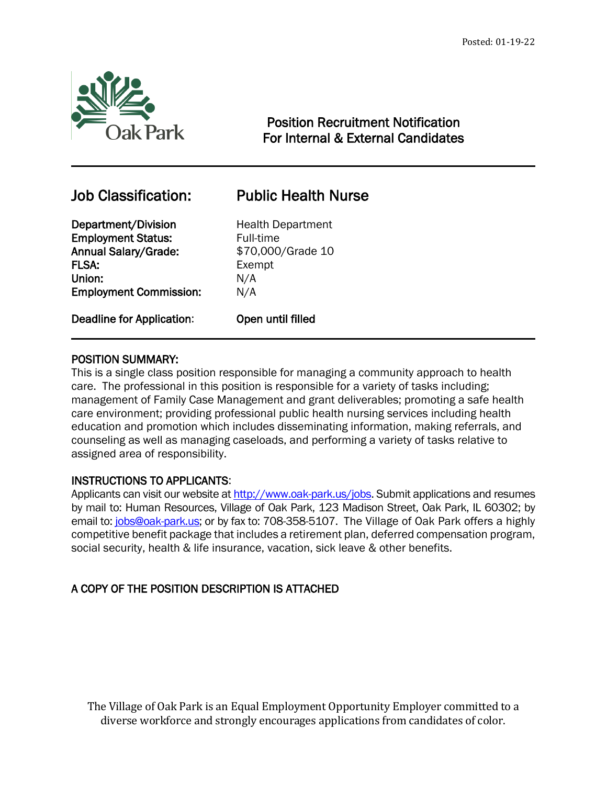

# Position Recruitment Notification For Internal & External Candidates

# Job Classification: Public Health Nurse

 $\overline{a}$ 

## Department/Division Health Department **Employment Status:** Full-time Annual Salary/Grade: \$70,000/Grade 10 FLSA: Exempt Union: N/A Employment Commission: N/A

Deadline for Application: Open until filled

# POSITION SUMMARY:

This is a single class position responsible for managing a community approach to health care. The professional in this position is responsible for a variety of tasks including; management of Family Case Management and grant deliverables; promoting a safe health care environment; providing professional public health nursing services including health education and promotion which includes disseminating information, making referrals, and counseling as well as managing caseloads, and performing a variety of tasks relative to assigned area of responsibility.

# INSTRUCTIONS TO APPLICANTS:

Applicants can visit our website a[t http://www.oak-park.us/j](http://www.oak-park.us/)obs. Submit applications and resumes by mail to: Human Resources, Village of Oak Park, 123 Madison Street, Oak Park, IL 60302; by email to: [jobs@oak-park.us;](mailto:jobs@oak-park.us) or by fax to: 708-358-5107. The Village of Oak Park offers a highly competitive benefit package that includes a retirement plan, deferred compensation program, social security, health & life insurance, vacation, sick leave & other benefits.

# A COPY OF THE POSITION DESCRIPTION IS ATTACHED

The Village of Oak Park is an Equal Employment Opportunity Employer committed to a diverse workforce and strongly encourages applications from candidates of color.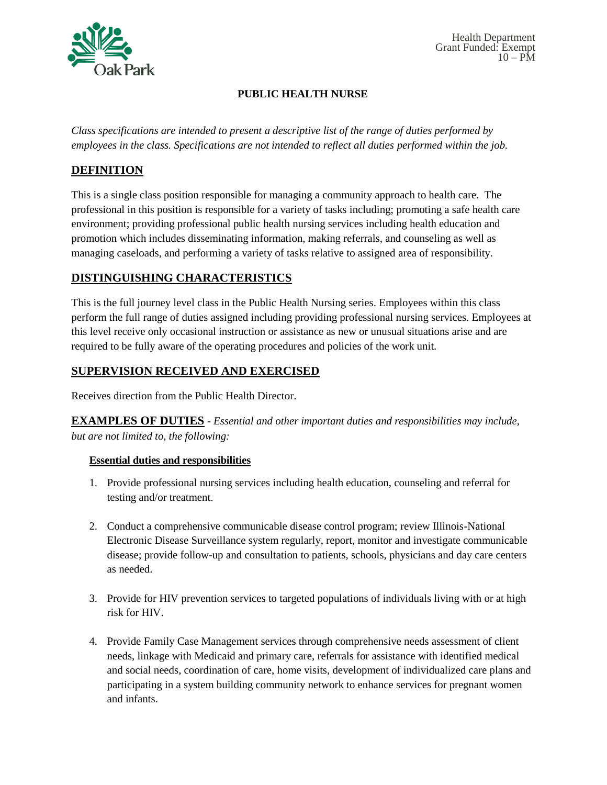

#### **PUBLIC HEALTH NURSE**

*Class specifications are intended to present a descriptive list of the range of duties performed by employees in the class. Specifications are not intended to reflect all duties performed within the job.*

## **DEFINITION**

This is a single class position responsible for managing a community approach to health care. The professional in this position is responsible for a variety of tasks including; promoting a safe health care environment; providing professional public health nursing services including health education and promotion which includes disseminating information, making referrals, and counseling as well as managing caseloads, and performing a variety of tasks relative to assigned area of responsibility.

### **DISTINGUISHING CHARACTERISTICS**

This is the full journey level class in the Public Health Nursing series. Employees within this class perform the full range of duties assigned including providing professional nursing services. Employees at this level receive only occasional instruction or assistance as new or unusual situations arise and are required to be fully aware of the operating procedures and policies of the work unit.

# **SUPERVISION RECEIVED AND EXERCISED**

Receives direction from the Public Health Director.

**EXAMPLES OF DUTIES** - *Essential and other important duties and responsibilities may include, but are not limited to, the following:*

#### **Essential duties and responsibilities**

- 1. Provide professional nursing services including health education, counseling and referral for testing and/or treatment.
- 2. Conduct a comprehensive communicable disease control program; review Illinois-National Electronic Disease Surveillance system regularly, report, monitor and investigate communicable disease; provide follow-up and consultation to patients, schools, physicians and day care centers as needed.
- 3. Provide for HIV prevention services to targeted populations of individuals living with or at high risk for HIV.
- 4. Provide Family Case Management services through comprehensive needs assessment of client needs, linkage with Medicaid and primary care, referrals for assistance with identified medical and social needs, coordination of care, home visits, development of individualized care plans and participating in a system building community network to enhance services for pregnant women and infants.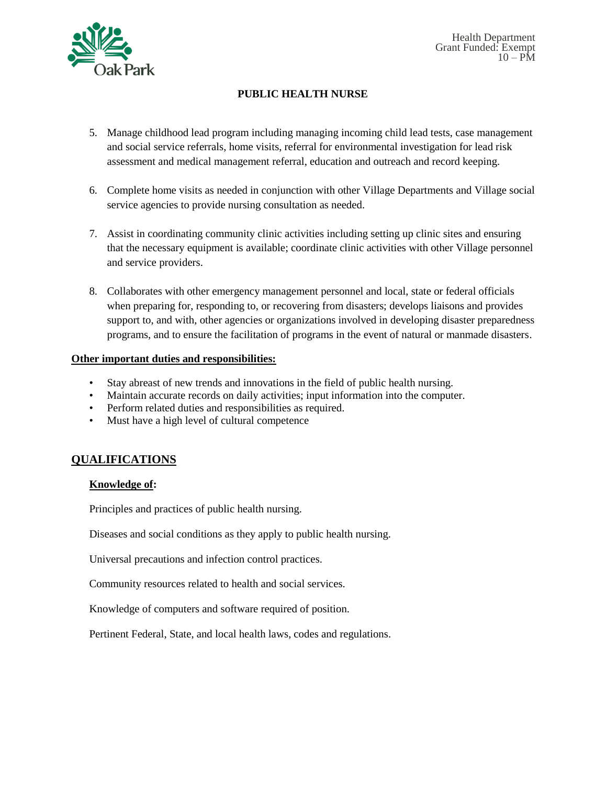

#### **PUBLIC HEALTH NURSE**

- 5. Manage childhood lead program including managing incoming child lead tests, case management and social service referrals, home visits, referral for environmental investigation for lead risk assessment and medical management referral, education and outreach and record keeping.
- 6. Complete home visits as needed in conjunction with other Village Departments and Village social service agencies to provide nursing consultation as needed.
- 7. Assist in coordinating community clinic activities including setting up clinic sites and ensuring that the necessary equipment is available; coordinate clinic activities with other Village personnel and service providers.
- 8. Collaborates with other emergency management personnel and local, state or federal officials when preparing for, responding to, or recovering from disasters; develops liaisons and provides support to, and with, other agencies or organizations involved in developing disaster preparedness programs, and to ensure the facilitation of programs in the event of natural or manmade disasters.

#### **Other important duties and responsibilities:**

- Stay abreast of new trends and innovations in the field of public health nursing.
- Maintain accurate records on daily activities; input information into the computer.
- Perform related duties and responsibilities as required.
- Must have a high level of cultural competence

### **QUALIFICATIONS**

#### **Knowledge of:**

Principles and practices of public health nursing.

Diseases and social conditions as they apply to public health nursing.

Universal precautions and infection control practices.

Community resources related to health and social services.

Knowledge of computers and software required of position.

Pertinent Federal, State, and local health laws, codes and regulations.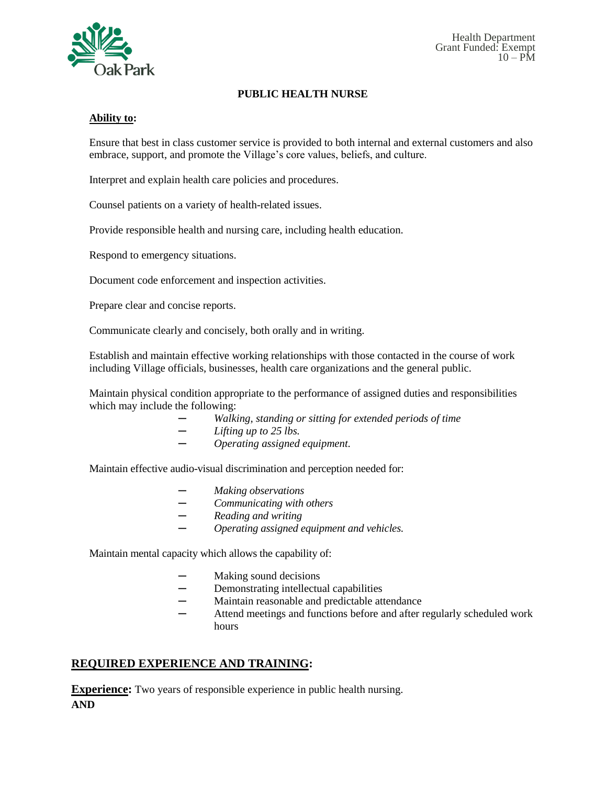

#### **PUBLIC HEALTH NURSE**

#### **Ability to:**

Ensure that best in class customer service is provided to both internal and external customers and also embrace, support, and promote the Village's core values, beliefs, and culture.

Interpret and explain health care policies and procedures.

Counsel patients on a variety of health-related issues.

Provide responsible health and nursing care, including health education.

Respond to emergency situations.

Document code enforcement and inspection activities.

Prepare clear and concise reports.

Communicate clearly and concisely, both orally and in writing.

Establish and maintain effective working relationships with those contacted in the course of work including Village officials, businesses, health care organizations and the general public.

Maintain physical condition appropriate to the performance of assigned duties and responsibilities which may include the following:

- *─ Walking, standing or sitting for extended periods of time*
- *─ Lifting up to 25 lbs.*
- *─ Operating assigned equipment.*

Maintain effective audio-visual discrimination and perception needed for:

- *─ Making observations*
- *─ Communicating with others*
- *─ Reading and writing*
- *─ Operating assigned equipment and vehicles.*

Maintain mental capacity which allows the capability of:

- *─* Making sound decisions
- ─ Demonstrating intellectual capabilities<br>─ Maintain reasonable and predictable att
- Maintain reasonable and predictable attendance
- Attend meetings and functions before and after regularly scheduled work hours

### **REQUIRED EXPERIENCE AND TRAINING:**

**Experience:** Two years of responsible experience in public health nursing. **AND**